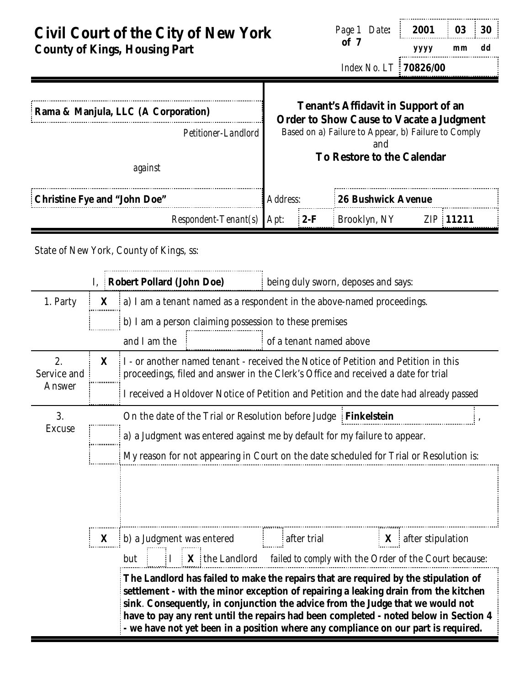| <b>Civil Court of the City of New York</b> |  |
|--------------------------------------------|--|
| <b>County of Kings, Housing Part</b>       |  |

| Page 1 Date:                 | 2001 03 30 |    |    |  |
|------------------------------|------------|----|----|--|
| of 7                         | yyyy       | mm | dd |  |
| Index No. LT <b>70826/00</b> |            |    |    |  |

| <b>Tenant's Affidavit in Support of an</b><br><b>Order to Show Cause to Vacate a Judgment</b><br>Based on a) Failure to Appear, b) Failure to Comply<br>Petitioner-Landlord |       |                                     |                                          |  |
|-----------------------------------------------------------------------------------------------------------------------------------------------------------------------------|-------|-------------------------------------|------------------------------------------|--|
|                                                                                                                                                                             |       |                                     |                                          |  |
| Address:                                                                                                                                                                    |       | <b>26 Bushwick Avenue</b>           |                                          |  |
| $Respondent-Tenant(s)$<br>Apt:                                                                                                                                              | $2-F$ | Brooklyn, NY                        | <i>ZIP</i> 11211                         |  |
|                                                                                                                                                                             |       |                                     |                                          |  |
|                                                                                                                                                                             |       | being duly sworn, deposes and says: |                                          |  |
|                                                                                                                                                                             |       |                                     | and<br><b>To Restore to the Calendar</b> |  |

| 1. Party                    |              | $X$ a) I am a tenant named as a respondent in the above-named proceedings.             |                                                                                                                                                                                                                                                                                                                                                                                                                                            |  |  |  |  |  |  |  |
|-----------------------------|--------------|----------------------------------------------------------------------------------------|--------------------------------------------------------------------------------------------------------------------------------------------------------------------------------------------------------------------------------------------------------------------------------------------------------------------------------------------------------------------------------------------------------------------------------------------|--|--|--|--|--|--|--|
|                             |              | b) I am a person claiming possession to these premises                                 |                                                                                                                                                                                                                                                                                                                                                                                                                                            |  |  |  |  |  |  |  |
|                             |              | and I am the                                                                           | of a tenant named above                                                                                                                                                                                                                                                                                                                                                                                                                    |  |  |  |  |  |  |  |
| 2.<br>Service and<br>Answer | $\mathbf{X}$ |                                                                                        | I - or another named tenant - received the Notice of Petition and Petition in this<br>proceedings, filed and answer in the Clerk's Office and received a date for trial<br>I received a Holdover Notice of Petition and Petition and the date had already passed                                                                                                                                                                           |  |  |  |  |  |  |  |
| 3.                          |              |                                                                                        | On the date of the Trial or Resolution before Judge Finkelstein                                                                                                                                                                                                                                                                                                                                                                            |  |  |  |  |  |  |  |
| <b>Excuse</b>               |              |                                                                                        | a) a Judgment was entered against me by default for my failure to appear.                                                                                                                                                                                                                                                                                                                                                                  |  |  |  |  |  |  |  |
|                             |              | My reason for not appearing in Court on the date scheduled for Trial or Resolution is: |                                                                                                                                                                                                                                                                                                                                                                                                                                            |  |  |  |  |  |  |  |
|                             |              |                                                                                        | $\mathbf{X}$ b) a Judgment was entered after trial $\mathbf{X}$ after stipulation                                                                                                                                                                                                                                                                                                                                                          |  |  |  |  |  |  |  |
|                             |              | but                                                                                    | $\parallel I \parallel X \parallel$ the Landlord <i>failed to comply</i> with the Order of the Court because:                                                                                                                                                                                                                                                                                                                              |  |  |  |  |  |  |  |
|                             |              |                                                                                        | The Landlord has failed to make the repairs that are required by the stipulation of<br>settlement - with the minor exception of repairing a leaking drain from the kitchen<br>sink. Consequently, in conjunction the advice from the Judge that we would not<br>have to pay any rent until the repairs had been completed - noted below in Section 4<br>- we have not yet been in a position where any compliance on our part is required. |  |  |  |  |  |  |  |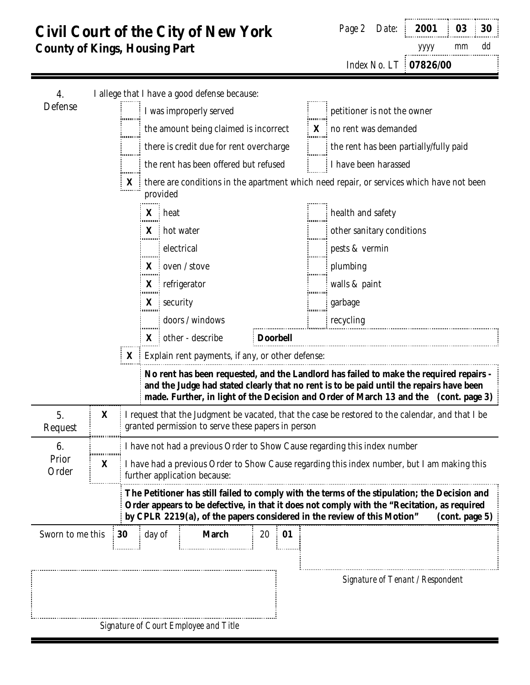|  | Page 2 Date: 2001 03 30 |       |  |
|--|-------------------------|-------|--|
|  | <i>yyyy</i>             | mm dd |  |
|  | Index No. LT 07826/00   |       |  |

| 4.               |                             |                       | I allege that I have a good defense because:           |                 |            |                                                                                                                                                                                                                                                                                           |
|------------------|-----------------------------|-----------------------|--------------------------------------------------------|-----------------|------------|-------------------------------------------------------------------------------------------------------------------------------------------------------------------------------------------------------------------------------------------------------------------------------------------|
| Defense          | I was improperly served<br> |                       |                                                        |                 |            | petitioner is not the owner                                                                                                                                                                                                                                                               |
|                  |                             |                       | the amount being claimed is incorrect                  |                 |            | X no rent was demanded                                                                                                                                                                                                                                                                    |
|                  |                             | .                     | there is credit due for rent overcharge                |                 |            | the rent has been partially/fully paid                                                                                                                                                                                                                                                    |
|                  |                             | .<br>                 | the rent has been offered but refused                  |                 |            | I have been harassed                                                                                                                                                                                                                                                                      |
|                  |                             |                       | provided                                               |                 |            | $\mathbf{X}$ is there are conditions in the apartment which need repair, or services which have not been                                                                                                                                                                                  |
|                  |                             |                       | X heat                                                 |                 |            | health and safety                                                                                                                                                                                                                                                                         |
|                  |                             |                       | <b>X</b> hot water                                     |                 |            | other sanitary conditions                                                                                                                                                                                                                                                                 |
|                  |                             |                       | electrical                                             |                 |            | pests & vermin                                                                                                                                                                                                                                                                            |
|                  |                             | innun<br>$\mathbf{X}$ | oven / stove                                           |                 |            | plumbing                                                                                                                                                                                                                                                                                  |
|                  |                             | mono                  | $X$ refrigerator                                       |                 |            | walls & paint                                                                                                                                                                                                                                                                             |
|                  |                             | mm                    | $X$ security                                           |                 | innun      | garbage                                                                                                                                                                                                                                                                                   |
|                  |                             |                       | doors / windows                                        |                 | ,,,,,,,,,, | recycling                                                                                                                                                                                                                                                                                 |
|                  |                             |                       | $X$ other - describe                                   | <b>Doorbell</b> |            |                                                                                                                                                                                                                                                                                           |
|                  |                             |                       | $X$ : Explain rent payments, if any, or other defense: |                 |            |                                                                                                                                                                                                                                                                                           |
|                  |                             |                       |                                                        |                 |            | No rent has been requested, and the Landlord has failed to make the required repairs -<br>and the Judge had stated clearly that no rent is to be paid until the repairs have been                                                                                                         |
|                  |                             |                       |                                                        |                 |            | made. Further, in light of the Decision and Order of March 13 and the (cont. page 3)                                                                                                                                                                                                      |
| 5.<br>Request    | X                           |                       | granted permission to serve these papers in person     |                 |            | I request that the Judgment be vacated, that the case be restored to the calendar, and that I be                                                                                                                                                                                          |
| 6.               | ,,,,,,,,,,,,,,,             |                       |                                                        |                 |            | I have not had a previous Order to Show Cause regarding this index number                                                                                                                                                                                                                 |
| Prior<br>Order   | X                           |                       | further application because:                           |                 |            | I have had a previous Order to Show Cause regarding this index number, but I am making this                                                                                                                                                                                               |
|                  |                             |                       |                                                        |                 |            | The Petitioner has still failed to comply with the terms of the stipulation; the Decision and<br>Order appears to be defective, in that it does not comply with the "Recitation, as required<br>by CPLR 2219(a), of the papers considered in the review of this Motion"<br>(cont. page 5) |
| Sworn to me this |                             | day of<br>30          | <b>March</b>                                           | 20<br>01        |            |                                                                                                                                                                                                                                                                                           |
|                  |                             |                       |                                                        |                 |            |                                                                                                                                                                                                                                                                                           |
|                  |                             |                       |                                                        |                 |            | Signature of Tenant / Respondent                                                                                                                                                                                                                                                          |
|                  |                             |                       |                                                        |                 |            |                                                                                                                                                                                                                                                                                           |
|                  |                             |                       |                                                        |                 |            |                                                                                                                                                                                                                                                                                           |
|                  |                             |                       | Signature of Court Employee and Title                  |                 |            |                                                                                                                                                                                                                                                                                           |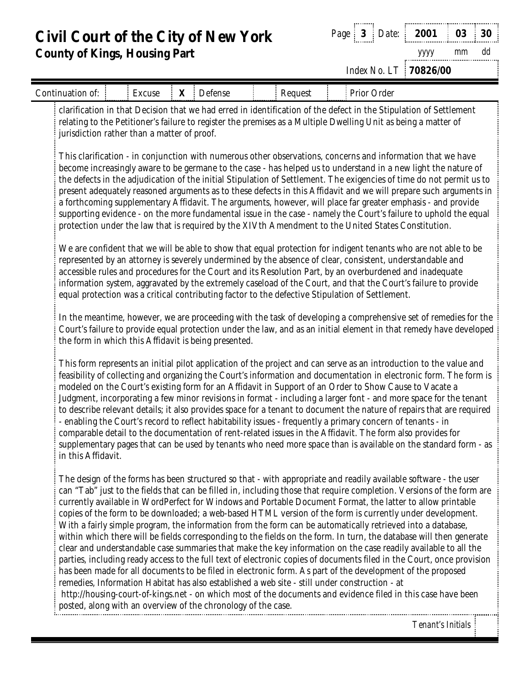*Page* **3** *Date*: **2001 03 30** *yyyy mm dd*

*Index No. LT* **70826/00**

| Continuation of:                                                                                                                                                                                                                                                                   | Excuse |  | X Defense |  | Request |  | Prior Order                                                                                                                                                                                                                                                                                                                                                                                                                                                                                                                                                                                                                                                                                                                                                                                                                                                                                                                                                                                                                                                                                                                                                                                                                                                                          |  |  |  |
|------------------------------------------------------------------------------------------------------------------------------------------------------------------------------------------------------------------------------------------------------------------------------------|--------|--|-----------|--|---------|--|--------------------------------------------------------------------------------------------------------------------------------------------------------------------------------------------------------------------------------------------------------------------------------------------------------------------------------------------------------------------------------------------------------------------------------------------------------------------------------------------------------------------------------------------------------------------------------------------------------------------------------------------------------------------------------------------------------------------------------------------------------------------------------------------------------------------------------------------------------------------------------------------------------------------------------------------------------------------------------------------------------------------------------------------------------------------------------------------------------------------------------------------------------------------------------------------------------------------------------------------------------------------------------------|--|--|--|
| clarification in that Decision that we had erred in identification of the defect in the Stipulation of Settlement<br>relating to the Petitioner's failure to register the premises as a Multiple Dwelling Unit as being a matter of<br>jurisdiction rather than a matter of proof. |        |  |           |  |         |  |                                                                                                                                                                                                                                                                                                                                                                                                                                                                                                                                                                                                                                                                                                                                                                                                                                                                                                                                                                                                                                                                                                                                                                                                                                                                                      |  |  |  |
|                                                                                                                                                                                                                                                                                    |        |  |           |  |         |  | This clarification - in conjunction with numerous other observations, concerns and information that we have<br>become increasingly aware to be germane to the case - has helped us to understand in a new light the nature of<br>the defects in the adjudication of the initial Stipulation of Settlement. The exigencies of time do not permit us to<br>present adequately reasoned arguments as to these defects in this Affidavit and we will prepare such arguments in<br>a forthcoming supplementary Affidavit. The arguments, however, will place far greater emphasis - and provide<br>supporting evidence - on the more fundamental issue in the case - namely the Court's failure to uphold the equal<br>protection under the law that is required by the XIVth Amendment to the United States Constitution.                                                                                                                                                                                                                                                                                                                                                                                                                                                                |  |  |  |
|                                                                                                                                                                                                                                                                                    |        |  |           |  |         |  | We are confident that we will be able to show that equal protection for indigent tenants who are not able to be<br>represented by an attorney is severely undermined by the absence of clear, consistent, understandable and<br>accessible rules and procedures for the Court and its Resolution Part, by an overburdened and inadequate<br>information system, aggravated by the extremely caseload of the Court, and that the Court's failure to provide<br>equal protection was a critical contributing factor to the defective Stipulation of Settlement.                                                                                                                                                                                                                                                                                                                                                                                                                                                                                                                                                                                                                                                                                                                        |  |  |  |
| the form in which this Affidavit is being presented.                                                                                                                                                                                                                               |        |  |           |  |         |  | In the meantime, however, we are proceeding with the task of developing a comprehensive set of remedies for the<br>Court's failure to provide equal protection under the law, and as an initial element in that remedy have developed                                                                                                                                                                                                                                                                                                                                                                                                                                                                                                                                                                                                                                                                                                                                                                                                                                                                                                                                                                                                                                                |  |  |  |
| in this Affidavit.                                                                                                                                                                                                                                                                 |        |  |           |  |         |  | This form represents an initial pilot application of the project and can serve as an introduction to the value and<br>feasibility of collecting and organizing the Court's information and documentation in electronic form. The form is<br>modeled on the Court's existing form for an Affidavit in Support of an Order to Show Cause to Vacate a<br>Judgment, incorporating a few minor revisions in format - including a larger font - and more space for the tenant<br>to describe relevant details; it also provides space for a tenant to document the nature of repairs that are required<br>enabling the Court's record to reflect habitability issues - frequently a primary concern of tenants - in<br>comparable detail to the documentation of rent-related issues in the Affidavit. The form also provides for<br>supplementary pages that can be used by tenants who need more space than is available on the standard form - as                                                                                                                                                                                                                                                                                                                                       |  |  |  |
| posted, along with an overview of the chronology of the case.                                                                                                                                                                                                                      |        |  |           |  |         |  | The design of the forms has been structured so that - with appropriate and readily available software - the user<br>can "Tab" just to the fields that can be filled in, including those that require completion. Versions of the form are<br>currently available in WordPerfect for Windows and Portable Document Format, the latter to allow printable<br>copies of the form to be downloaded; a web-based HTML version of the form is currently under development.<br>With a fairly simple program, the information from the form can be automatically retrieved into a database,<br>within which there will be fields corresponding to the fields on the form. In turn, the database will then generate<br>clear and understandable case summaries that make the key information on the case readily available to all the<br>parties, including ready access to the full text of electronic copies of documents filed in the Court, once provision<br>has been made for all documents to be filed in electronic form. As part of the development of the proposed<br>remedies, Information Habitat has also established a web site - still under construction - at<br>http://housing-court-of-kings.net - on which most of the documents and evidence filed in this case have been |  |  |  |
|                                                                                                                                                                                                                                                                                    |        |  |           |  |         |  | Tenant's Initials !                                                                                                                                                                                                                                                                                                                                                                                                                                                                                                                                                                                                                                                                                                                                                                                                                                                                                                                                                                                                                                                                                                                                                                                                                                                                  |  |  |  |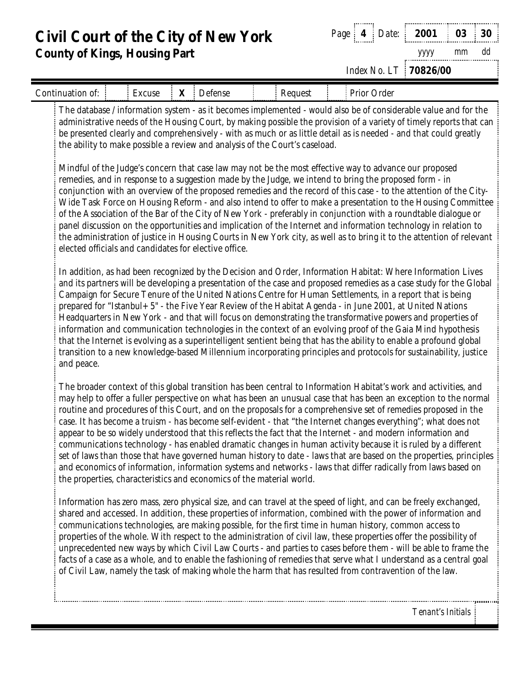*Page* **4** *Date*: **2001 03 30** *yyyy mm dd*

*Index No. LT* **70826/00**

| Continuation of:                                                                                                                                                                                                                                                                                                                                                                                                                           | Excuse                                                               |  | <b>X</b> Defense |  | Request |  | Prior Order                                                                                                                                                                                                                                                                                                                                                                                                                                                                                                                                                                                                                                                                                                                                                                                                                                                                                                                                        |  |  |
|--------------------------------------------------------------------------------------------------------------------------------------------------------------------------------------------------------------------------------------------------------------------------------------------------------------------------------------------------------------------------------------------------------------------------------------------|----------------------------------------------------------------------|--|------------------|--|---------|--|----------------------------------------------------------------------------------------------------------------------------------------------------------------------------------------------------------------------------------------------------------------------------------------------------------------------------------------------------------------------------------------------------------------------------------------------------------------------------------------------------------------------------------------------------------------------------------------------------------------------------------------------------------------------------------------------------------------------------------------------------------------------------------------------------------------------------------------------------------------------------------------------------------------------------------------------------|--|--|
| The database / information system - as it becomes implemented - would also be of considerable value and for the<br>administrative needs of the Housing Court, by making possible the provision of a variety of timely reports that can<br>be presented clearly and comprehensively - with as much or as little detail as is needed - and that could greatly<br>the ability to make possible a review and analysis of the Court's caseload. |                                                                      |  |                  |  |         |  |                                                                                                                                                                                                                                                                                                                                                                                                                                                                                                                                                                                                                                                                                                                                                                                                                                                                                                                                                    |  |  |
|                                                                                                                                                                                                                                                                                                                                                                                                                                            | elected officials and candidates for elective office.                |  |                  |  |         |  | Mindful of the Judge's concern that case law may not be the most effective way to advance our proposed<br>remedies, and in response to a suggestion made by the Judge, we intend to bring the proposed form - in<br>conjunction with an overview of the proposed remedies and the record of this case - to the attention of the City-<br>Wide Task Force on Housing Reform - and also intend to offer to make a presentation to the Housing Committee<br>of the Association of the Bar of the City of New York - preferably in conjunction with a roundtable dialogue or<br>panel discussion on the opportunities and implication of the Internet and information technology in relation to<br>the administration of justice in Housing Courts in New York city, as well as to bring it to the attention of relevant                                                                                                                               |  |  |
| and peace.                                                                                                                                                                                                                                                                                                                                                                                                                                 |                                                                      |  |                  |  |         |  | In addition, as had been recognized by the Decision and Order, Information Habitat: Where Information Lives<br>and its partners will be developing a presentation of the case and proposed remedies as a case study for the Global<br>Campaign for Secure Tenure of the United Nations Centre for Human Settlements, in a report that is being<br>prepared for "Istanbul+ 5" - the Five Year Review of the Habitat Agenda - in June 2001, at United Nations<br>Headquarters in New York - and that will focus on demonstrating the transformative powers and properties of<br>information and communication technologies in the context of an evolving proof of the Gaia Mind hypothesis<br>that the Internet is evolving as a superintelligent sentient being that has the ability to enable a profound global<br>transition to a new knowledge-based Millennium incorporating principles and protocols for sustainability, justice               |  |  |
|                                                                                                                                                                                                                                                                                                                                                                                                                                            | the properties, characteristics and economics of the material world. |  |                  |  |         |  | The broader context of this global transition has been central to Information Habitat's work and activities, and<br>may help to offer a fuller perspective on what has been an unusual case that has been an exception to the normal<br>routine and procedures of this Court, and on the proposals for a comprehensive set of remedies proposed in the<br>case. It has become a truism - has become self-evident - that "the Internet changes everything"; what does not<br>appear to be so widely understood that this reflects the fact that the Internet - and modern information and<br>communications technology - has enabled dramatic changes in human activity because it is ruled by a different<br>set of laws than those that have governed human history to date - laws that are based on the properties, principles<br>and economics of information, information systems and networks - laws that differ radically from laws based on |  |  |
|                                                                                                                                                                                                                                                                                                                                                                                                                                            |                                                                      |  |                  |  |         |  | Information has zero mass, zero physical size, and can travel at the speed of light, and can be freely exchanged,<br>shared and accessed. In addition, these properties of information, combined with the power of information and<br>communications technologies, are making possible, for the first time in human history, common access to<br>properties of the whole. With respect to the administration of civil law, these properties offer the possibility of<br>unprecedented new ways by which Civil Law Courts - and parties to cases before them - will be able to frame the<br>facts of a case as a whole, and to enable the fashioning of remedies that serve what I understand as a central goal<br>of Civil Law, namely the task of making whole the harm that has resulted from contravention of the law.                                                                                                                          |  |  |
|                                                                                                                                                                                                                                                                                                                                                                                                                                            |                                                                      |  |                  |  |         |  | Tenant's Initials                                                                                                                                                                                                                                                                                                                                                                                                                                                                                                                                                                                                                                                                                                                                                                                                                                                                                                                                  |  |  |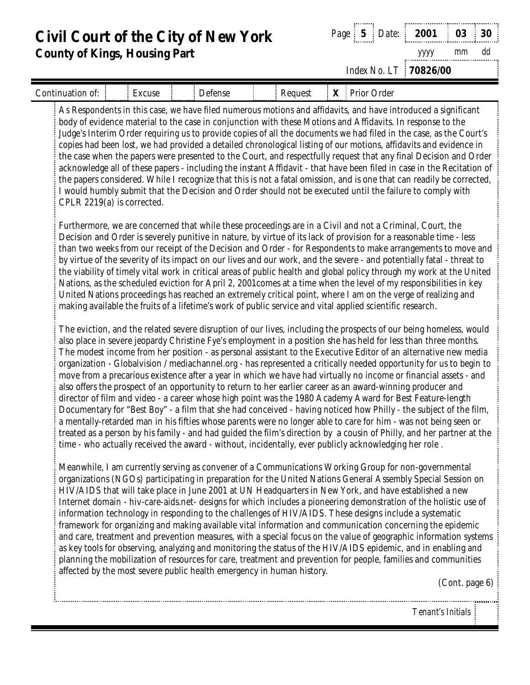**Civil Court of the City of New York County of Kings, Housing Part** *Page* **5** *Date*: **2001 03 30** *yyyy mm dd Index No. LT* **70826/00** Continuation of: Excuse Defense Request **X** Prior Order As Respondents in this case, we have filed numerous motions and affidavits, and have introduced a significant body of evidence material to the case in conjunction with these Motions and Affidavits. In response to the Judge's Interim Order requiring us to provide copies of all the documents we had filed in the case, as the Court's copies had been lost, we had provided a detailed chronological listing of our motions, affidavits and evidence in the case when the papers were presented to the Court, and respectfully request that any final Decision and Order acknowledge all of these papers - including the instant Affidavit - that have been filed in case in the Recitation of the papers considered. While I recognize that this is not a fatal omission, and is one that can readily be corrected, I would humbly submit that the Decision and Order should not be executed until the failure to comply with CPLR 2219(a) is corrected. Furthermore, we are concerned that while these proceedings are in a Civil and not a Criminal, Court, the Decision and Order is severely punitive in nature, by virtue of its lack of provision for a reasonable time - less than two weeks from our receipt of the Decision and Order - for Respondents to make arrangements to move and by virtue of the severity of its impact on our lives and our work, and the severe - and potentially fatal - threat to the viability of timely vital work in critical areas of public health and global policy through my work at the United Nations, as the scheduled eviction for April 2, 2001comes at a time when the level of my responsibilities in key United Nations proceedings has reached an extremely critical point, where I am on the verge of realizing and making available the fruits of a lifetime's work of public service and vital applied scientific research. The eviction, and the related severe disruption of our lives, including the prospects of our being homeless, would also place in severe jeopardy Christine Fye's employment in a position she has held for less than three months. The modest income from her position - as personal assistant to the Executive Editor of an alternative new media organization - Globalvision / mediachannel.org - has represented a critically needed opportunity for us to begin to move from a precarious existence after a year in which we have had virtually no income or financial assets - and also offers the prospect of an opportunity to return to her earlier career as an award-winning producer and director of film and video - a career whose high point was the 1980 Academy Award for Best Feature-length Documentary for "Best Boy" - a film that she had conceived - having noticed how Philly - the subject of the film, a mentally-retarded man in his fifties whose parents were no longer able to care for him - was not being seen or treated as a person by his family - and had guided the film's direction by a cousin of Philly, and her partner at the time - who actually received the award - without, incidentally, ever publicly acknowledging her role . Meanwhile, I am currently serving as convener of a Communications Working Group for non-governmental organizations (NGOs) participating in preparation for the United Nations General Assembly Special Session on HIV/AIDS that will take place in June 2001 at UN Headquarters in New York, and have established a new Internet domain - hiv-care-aids.net- designs for which includes a pioneering demonstration of the holistic use of information technology in responding to the challenges of HIV/AIDS. These designs include a systematic framework for organizing and making available vital information and communication concerning the epidemic and care, treatment and prevention measures, with a special focus on the value of geographic information systems as key tools for observing, analyzing and monitoring the status of the HIV/AIDS epidemic, and in enabling and planning the mobilization of resources for care, treatment and prevention for people, families and communities affected by the most severe public health emergency in human history. (Cont. page 6)

*Tenant's Initials*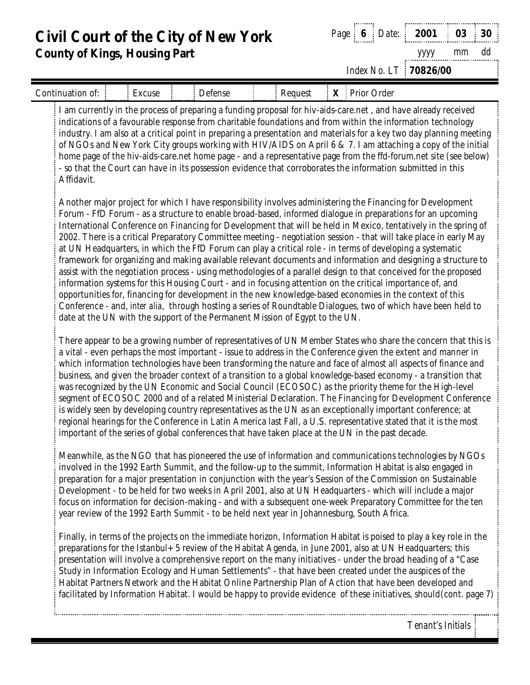**Civil Court of the City of New York County of Kings, Housing Part** *Page* **6** *Date*: **2001 03 30** *yyyy mm dd Index No. LT* **70826/00** Continuation of: Excuse Defense Request **X** Prior Order I am currently in the process of preparing a funding proposal for hiv-aids-care.net , and have already received indications of a favourable response from charitable foundations and from within the information technology industry. I am also at a critical point in preparing a presentation and materials for a key two day planning meeting of NGOs and New York City groups working with HIV/AIDS on April 6 & 7. I am attaching a copy of the initial home page of the hiv-aids-care.net home page - and a representative page from the ffd-forum.net site (see below) - so that the Court can have in its possession evidence that corroborates the information submitted in this Affidavit. Another major project for which I have responsibility involves administering the Financing for Development Forum - FfD Forum - as a structure to enable broad-based, informed dialogue in preparations for an upcoming International Conference on Financing for Development that will be held in Mexico, tentatively in the spring of 2002. There is a critical Preparatory Committee meeting - negotiation session - that will take place in early May at UN Headquarters, in which the FfD Forum can play a critical role - in terms of developing a systematic framework for organizing and making available relevant documents and information and designing a structure to assist with the negotiation process - using methodologies of a parallel design to that conceived for the proposed information systems for this Housing Court - and in focusing attention on the critical importance of, and opportunities for, financing for development in the new knowledge-based economies in the context of this Conference - and, *inter alia*, through hosting a series of Roundtable Dialogues, two of which have been held to date at the UN with the support of the Permanent Mission of Egypt to the UN. There appear to be a growing number of representatives of UN Member States who share the concern that this is a vital - even perhaps the most important - issue to address in the Conference given the extent and manner in which information technologies have been transforming the nature and face of almost all aspects of finance and business, and given the broader context of a transition to a global knowledge-based economy - a transition that was recognized by the UN Economic and Social Council (ECOSOC) as the priority theme for the High-level segment of ECOSOC 2000 and of a related Ministerial Declaration. The Financing for Development Conference is widely seen by developing country representatives as the UN as an exceptionally important conference; at regional hearings for the Conference in Latin America last Fall, a U.S. representative stated that it is the most important of the series of global conferences that have taken place at the UN in the past decade. Meanwhile, as the NGO that has pioneered the use of information and communications technologies by NGOs involved in the 1992 Earth Summit, and the follow-up to the summit, Information Habitat is also engaged in preparation for a major presentation in conjunction with the year's Session of the Commission on Sustainable Development - to be held for two weeks in April 2001, also at UN Headquarters - which will include a major focus on information for decision-making - and with a subsequent one-week Preparatory Committee for the ten year review of the 1992 Earth Summit - to be held next year in Johannesburg, South Africa. Finally, in terms of the projects on the immediate horizon, Information Habitat is poised to play a key role in the

preparations for the Istanbul+5 review of the Habitat Agenda, in June 2001, also at UN Headquarters; this presentation will involve a comprehensive report on the many initiatives - under the broad heading of a "Case Study in Information Ecology and Human Settlements" - that have been created under the auspices of the Habitat Partners Network and the Habitat Online Partnership Plan of Action that have been developed and facilitated by Information Habitat. I would be happy to provide evidence of these initiatives, should(cont. page 7)

*Tenant's Initials*